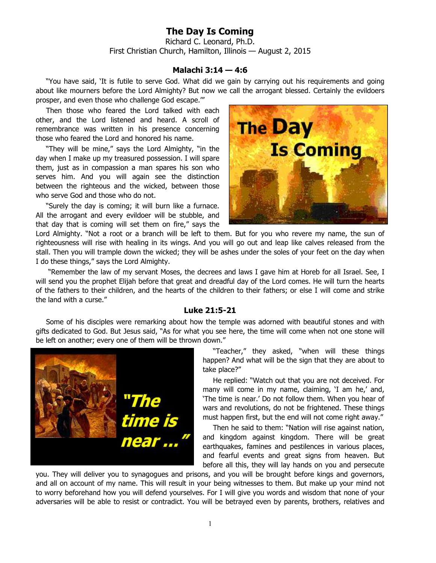## **The Day Is Coming**

Richard C. Leonard, Ph.D. First Christian Church, Hamilton, Illinois — August 2, 2015

## **Malachi 3:14 — 4:6**

"You have said, 'It is futile to serve God. What did we gain by carrying out his requirements and going about like mourners before the Lord Almighty? But now we call the arrogant blessed. Certainly the evildoers prosper, and even those who challenge God escape.'"

Then those who feared the Lord talked with each other, and the Lord listened and heard. A scroll of remembrance was written in his presence concerning those who feared the Lord and honored his name.

"They will be mine," says the Lord Almighty, "in the day when I make up my treasured possession. I will spare them, just as in compassion a man spares his son who serves him. And you will again see the distinction between the righteous and the wicked, between those who serve God and those who do not.

"Surely the day is coming; it will burn like a furnace. All the arrogant and every evildoer will be stubble, and that day that is coming will set them on fire," says the



Lord Almighty. "Not a root or a branch will be left to them. But for you who revere my name, the sun of righteousness will rise with healing in its wings. And you will go out and leap like calves released from the stall. Then you will trample down the wicked; they will be ashes under the soles of your feet on the day when I do these things," says the Lord Almighty.

 "Remember the law of my servant Moses, the decrees and laws I gave him at Horeb for all Israel. See, I will send you the prophet Elijah before that great and dreadful day of the Lord comes. He will turn the hearts of the fathers to their children, and the hearts of the children to their fathers; or else I will come and strike the land with a curse."

## **Luke 21:5-21**

Some of his disciples were remarking about how the temple was adorned with beautiful stones and with gifts dedicated to God. But Jesus said, "As for what you see here, the time will come when not one stone will be left on another; every one of them will be thrown down."



"Teacher," they asked, "when will these things happen? And what will be the sign that they are about to take place?"

He replied: "Watch out that you are not deceived. For many will come in my name, claiming, 'I am he,' and, 'The time is near.' Do not follow them. When you hear of wars and revolutions, do not be frightened. These things must happen first, but the end will not come right away."

Then he said to them: "Nation will rise against nation, and kingdom against kingdom. There will be great earthquakes, famines and pestilences in various places, and fearful events and great signs from heaven. But before all this, they will lay hands on you and persecute

you. They will deliver you to synagogues and prisons, and you will be brought before kings and governors, and all on account of my name. This will result in your being witnesses to them. But make up your mind not to worry beforehand how you will defend yourselves. For I will give you words and wisdom that none of your adversaries will be able to resist or contradict. You will be betrayed even by parents, brothers, relatives and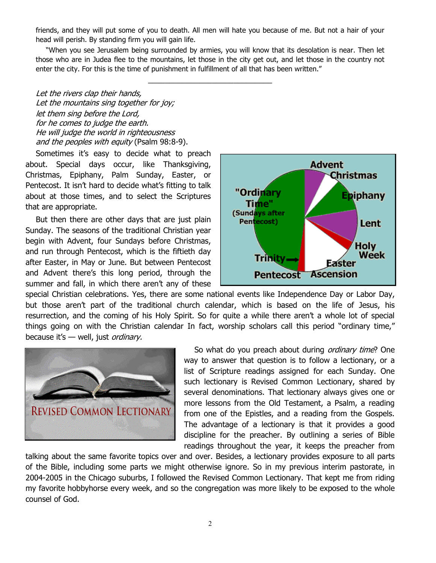friends, and they will put some of you to death. All men will hate you because of me. But not a hair of your head will perish. By standing firm you will gain life.

"When you see Jerusalem being surrounded by armies, you will know that its desolation is near. Then let those who are in Judea flee to the mountains, let those in the city get out, and let those in the country not enter the city. For this is the time of punishment in fulfillment of all that has been written."

\_\_\_\_\_\_\_\_\_\_\_\_\_\_\_\_\_\_\_\_\_\_\_\_\_\_\_\_\_

Let the rivers clap their hands, Let the mountains sing together for joy; let them sing before the Lord, for he comes to judge the earth. He will judge the world in righteousness and the peoples with equity (Psalm 98:8-9).

Sometimes it's easy to decide what to preach about. Special days occur, like Thanksgiving, Christmas, Epiphany, Palm Sunday, Easter, or Pentecost. It isn't hard to decide what's fitting to talk about at those times, and to select the Scriptures that are appropriate.

But then there are other days that are just plain Sunday. The seasons of the traditional Christian year begin with Advent, four Sundays before Christmas, and run through Pentecost, which is the fiftieth day after Easter, in May or June. But between Pentecost and Advent there's this long period, through the summer and fall, in which there aren't any of these



special Christian celebrations. Yes, there are some national events like Independence Day or Labor Day, but those aren't part of the traditional church calendar, which is based on the life of Jesus, his resurrection, and the coming of his Holy Spirit. So for quite a while there aren't a whole lot of special things going on with the Christian calendar In fact, worship scholars call this period "ordinary time," because it's  $-$  well, just ordinary.



So what do you preach about during *ordinary time*? One way to answer that question is to follow a lectionary, or a list of Scripture readings assigned for each Sunday. One such lectionary is Revised Common Lectionary, shared by several denominations. That lectionary always gives one or more lessons from the Old Testament, a Psalm, a reading from one of the Epistles, and a reading from the Gospels. The advantage of a lectionary is that it provides a good discipline for the preacher. By outlining a series of Bible readings throughout the year, it keeps the preacher from

talking about the same favorite topics over and over. Besides, a lectionary provides exposure to all parts of the Bible, including some parts we might otherwise ignore. So in my previous interim pastorate, in 2004-2005 in the Chicago suburbs, I followed the Revised Common Lectionary. That kept me from riding my favorite hobbyhorse every week, and so the congregation was more likely to be exposed to the whole counsel of God.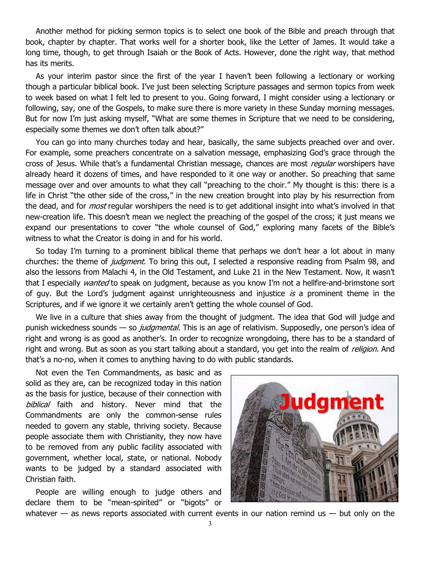Another method for picking sermon topics is to select one book of the Bible and preach through that book, chapter by chapter. That works well for a shorter book, like the Letter of James. It would take a long time, though, to get through Isaiah or the Book of Acts. However, done the right way, that method has its merits.

As your interim pastor since the first of the year I haven't been following a lectionary or working though a particular biblical book. I've just been selecting Scripture passages and sermon topics from week to week based on what I felt led to present to you. Going forward, I might consider using a lectionary or following, say, one of the Gospels, to make sure there is more variety in these Sunday morning messages. But for now I'm just asking myself, "What are some themes in Scripture that we need to be considering, especially some themes we don't often talk about?"

You can go into many churches today and hear, basically, the same subjects preached over and over. For example, some preachers concentrate on a salvation message, emphasizing God's grace through the cross of Jesus. While that's a fundamental Christian message, chances are most regular worshipers have already heard it dozens of times, and have responded to it one way or another. So preaching that same message over and over amounts to what they call "preaching to the choir." My thought is this: there is a life in Christ "the other side of the cross," in the new creation brought into play by his resurrection from the dead, and for *most* regular worshipers the need is to get additional insight into what's involved in that new-creation life. This doesn't mean we neglect the preaching of the gospel of the cross; it just means we expand our presentations to cover "the whole counsel of God," exploring many facets of the Bible's witness to what the Creator is doing in and for his world.

So today I'm turning to a prominent biblical theme that perhaps we don't hear a lot about in many churches: the theme of *judgment*. To bring this out, I selected a responsive reading from Psalm 98, and also the lessons from Malachi 4, in the Old Testament, and Luke 21 in the New Testament. Now, it wasn't that I especially *wanted* to speak on judgment, because as you know I'm not a hellfire-and-brimstone sort of guy. But the Lord's judgment against unrighteousness and injustice is a prominent theme in the Scriptures, and if we ignore it we certainly aren't getting the whole counsel of God.

We live in a culture that shies away from the thought of judgment. The idea that God will judge and punish wickedness sounds — so *judgmental*. This is an age of relativism. Supposedly, one person's idea of right and wrong is as good as another's. In order to recognize wrongdoing, there has to be a standard of right and wrong. But as soon as you start talking about a standard, you get into the realm of *religion*. And that's a no-no, when it comes to anything having to do with public standards.

Not even the Ten Commandments, as basic and as solid as they are, can be recognized today in this nation as the basis for justice, because of their connection with biblical faith and history. Never mind that the Commandments are only the common-sense rules needed to govern any stable, thriving society. Because people associate them with Christianity, they now have to be removed from any public facility associated with government, whether local, state, or national. Nobody wants to be judged by a standard associated with Christian faith.

People are willing enough to judge others and declare them to be "mean-spirited" or "bigots" or



whatever  $-$  as news reports associated with current events in our nation remind us  $-$  but only on the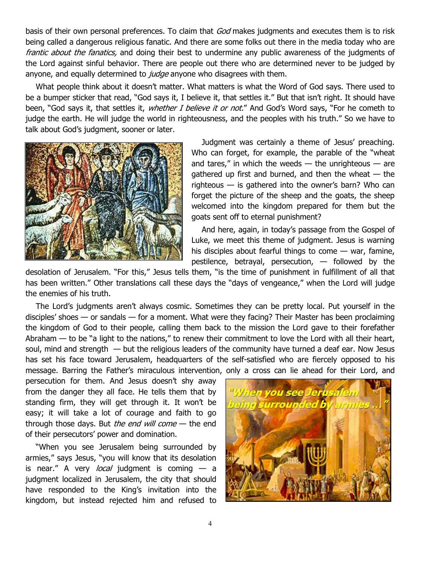basis of their own personal preferences. To claim that God makes judgments and executes them is to risk being called a dangerous religious fanatic. And there are some folks out there in the media today who are frantic about the fanatics, and doing their best to undermine any public awareness of the judgments of the Lord against sinful behavior. There are people out there who are determined never to be judged by anyone, and equally determined to *judge* anyone who disagrees with them.

What people think about it doesn't matter. What matters is what the Word of God says. There used to be a bumper sticker that read, "God says it, I believe it, that settles it." But that isn't right. It should have been, "God says it, that settles it, *whether I believe it or not."* And God's Word says, "For he cometh to judge the earth. He will judge the world in righteousness, and the peoples with his truth." So we have to talk about God's judgment, sooner or later.



Judgment was certainly a theme of Jesus' preaching. Who can forget, for example, the parable of the "wheat and tares," in which the weeds  $-$  the unrighteous  $-$  are gathered up first and burned, and then the wheat  $-$  the righteous — is gathered into the owner's barn? Who can forget the picture of the sheep and the goats, the sheep welcomed into the kingdom prepared for them but the goats sent off to eternal punishment?

And here, again, in today's passage from the Gospel of Luke, we meet this theme of judgment. Jesus is warning his disciples about fearful things to come  $-$  war, famine, pestilence, betrayal, persecution, — followed by the

desolation of Jerusalem. "For this," Jesus tells them, "is the time of punishment in fulfillment of all that has been written." Other translations call these days the "days of vengeance," when the Lord will judge the enemies of his truth.

The Lord's judgments aren't always cosmic. Sometimes they can be pretty local. Put yourself in the disciples' shoes — or sandals — for a moment. What were they facing? Their Master has been proclaiming the kingdom of God to their people, calling them back to the mission the Lord gave to their forefather Abraham  $-$  to be "a light to the nations," to renew their commitment to love the Lord with all their heart, soul, mind and strength — but the religious leaders of the community have turned a deaf ear. Now Jesus has set his face toward Jerusalem, headquarters of the self-satisfied who are fiercely opposed to his message. Barring the Father's miraculous intervention, only a cross can lie ahead for their Lord, and

persecution for them. And Jesus doesn't shy away from the danger they all face. He tells them that by standing firm, they will get through it. It won't be easy; it will take a lot of courage and faith to go through those days. But *the end will come*  $-$  the end of their persecutors' power and domination.

"When you see Jerusalem being surrounded by armies," says Jesus, "you will know that its desolation is near." A very *local* judgment is coming  $-$  a judgment localized in Jerusalem, the city that should have responded to the King's invitation into the kingdom, but instead rejected him and refused to

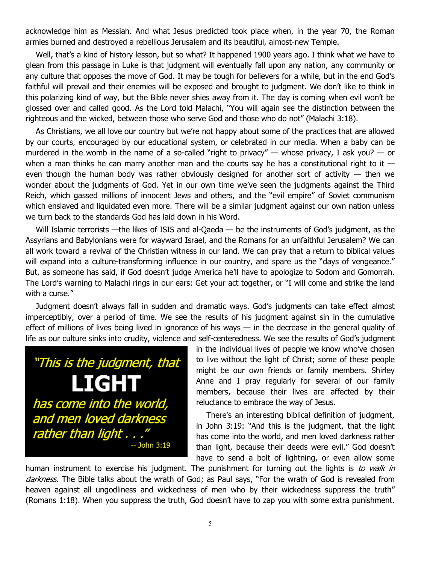acknowledge him as Messiah. And what Jesus predicted took place when, in the year 70, the Roman armies burned and destroyed a rebellious Jerusalem and its beautiful, almost-new Temple.

Well, that's a kind of history lesson, but so what? It happened 1900 years ago. I think what we have to glean from this passage in Luke is that judgment will eventually fall upon any nation, any community or any culture that opposes the move of God. It may be tough for believers for a while, but in the end God's faithful will prevail and their enemies will be exposed and brought to judgment. We don't like to think in this polarizing kind of way, but the Bible never shies away from it. The day is coming when evil won't be glossed over and called good. As the Lord told Malachi, "You will again see the distinction between the righteous and the wicked, between those who serve God and those who do not" (Malachi 3:18).

As Christians, we all love our country but we're not happy about some of the practices that are allowed by our courts, encouraged by our educational system, or celebrated in our media. When a baby can be murdered in the womb in the name of a so-called "right to privacy" — whose privacy, I ask you? — or when a man thinks he can marry another man and the courts say he has a constitutional right to it  $$ even though the human body was rather obviously designed for another sort of activity  $-$  then we wonder about the judgments of God. Yet in our own time we've seen the judgments against the Third Reich, which gassed millions of innocent Jews and others, and the "evil empire" of Soviet communism which enslaved and liquidated even more. There will be a similar judgment against our own nation unless we turn back to the standards God has laid down in his Word.

Will Islamic terrorists —the likes of ISIS and al-Qaeda — be the instruments of God's judgment, as the Assyrians and Babylonians were for wayward Israel, and the Romans for an unfaithful Jerusalem? We can all work toward a revival of the Christian witness in our land. We can pray that a return to biblical values will expand into a culture-transforming influence in our country, and spare us the "days of vengeance." But, as someone has said, if God doesn't judge America he'll have to apologize to Sodom and Gomorrah. The Lord's warning to Malachi rings in our ears: Get your act together, or "I will come and strike the land with a curse."

Judgment doesn't always fall in sudden and dramatic ways. God's judgments can take effect almost imperceptibly, over a period of time. We see the results of his judgment against sin in the cumulative effect of millions of lives being lived in ignorance of his ways — in the decrease in the general quality of life as our culture sinks into crudity, violence and self-centeredness. We see the results of God's judgment



in the individual lives of people we know who've chosen to live without the light of Christ; some of these people might be our own friends or family members. Shirley Anne and I pray regularly for several of our family members, because their lives are affected by their reluctance to embrace the way of Jesus.

There's an interesting biblical definition of judgment, in John 3:19: "And this is the judgment, that the light has come into the world, and men loved darkness rather than light, because their deeds were evil." God doesn't have to send a bolt of lightning, or even allow some

human instrument to exercise his judgment. The punishment for turning out the lights is to walk in darkness. The Bible talks about the wrath of God; as Paul says, "For the wrath of God is revealed from heaven against all ungodliness and wickedness of men who by their wickedness suppress the truth" (Romans 1:18). When you suppress the truth, God doesn't have to zap you with some extra punishment.